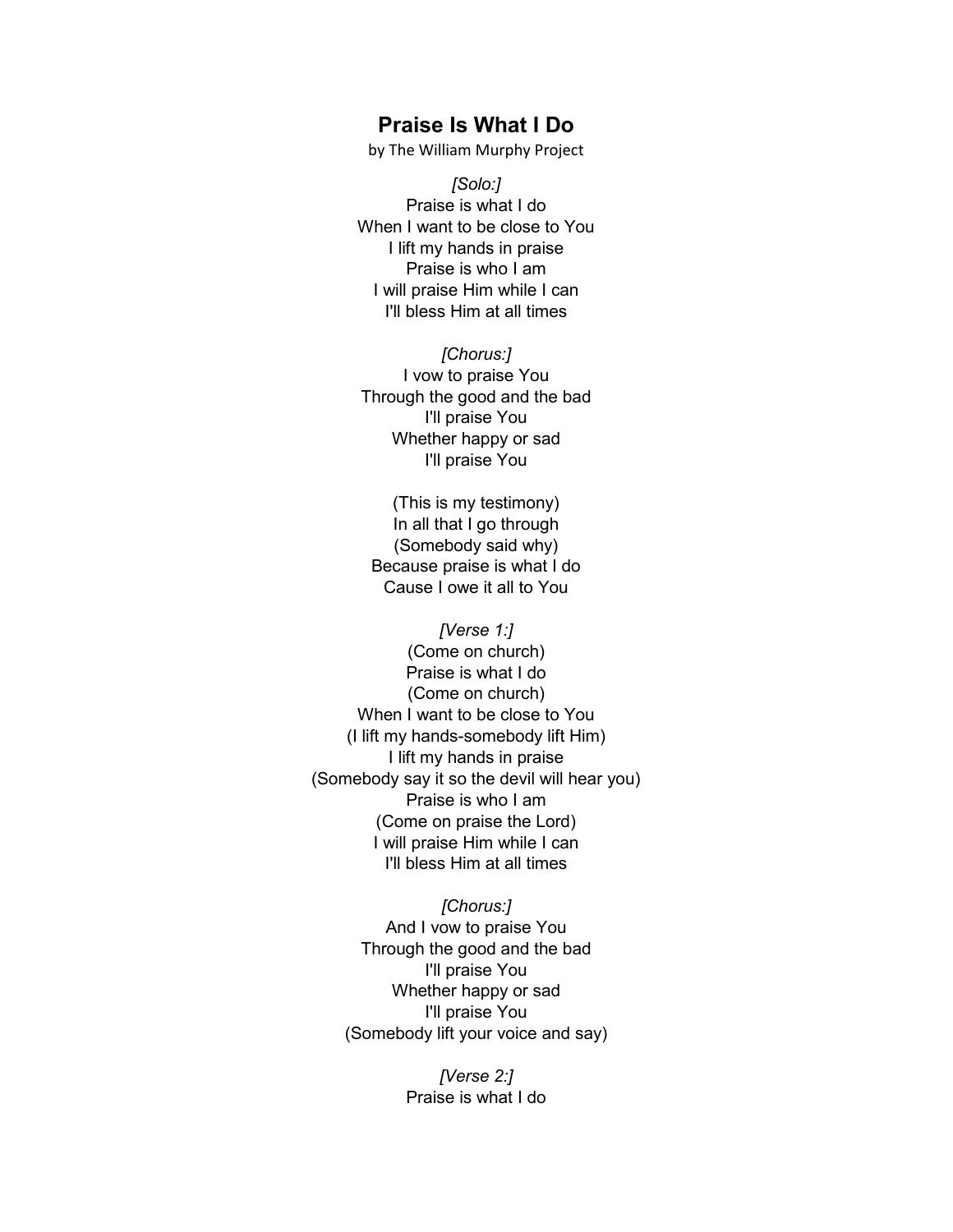## **Praise Is What I Do**

by The William Murphy Project

*[Solo:]* Praise is what I do When I want to be close to You I lift my hands in praise Praise is who I am I will praise Him while I can I'll bless Him at all times

*[Chorus:]* I vow to praise You Through the good and the bad I'll praise You Whether happy or sad I'll praise You

(This is my testimony) In all that I go through (Somebody said why) Because praise is what I do Cause I owe it all to You

*[Verse 1:]* (Come on church) Praise is what I do (Come on church) When I want to be close to You (I lift my hands-somebody lift Him) I lift my hands in praise (Somebody say it so the devil will hear you) Praise is who I am (Come on praise the Lord) I will praise Him while I can I'll bless Him at all times

> *[Chorus:]* And I vow to praise You Through the good and the bad I'll praise You Whether happy or sad I'll praise You (Somebody lift your voice and say)

> > *[Verse 2:]* Praise is what I do